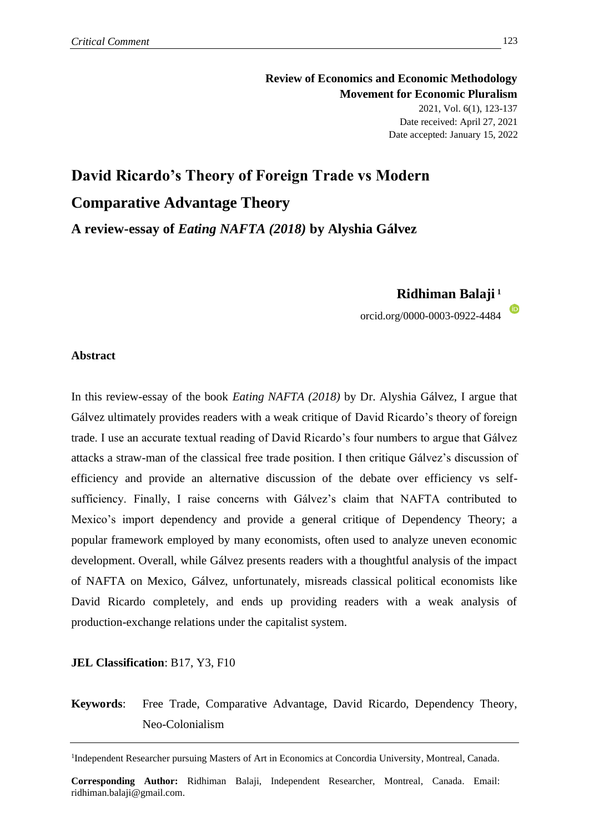**Review of Economics and Economic Methodology Movement for Economic Pluralism** 2021, Vol. 6(1), 123-137 Date received: April 27, 2021 Date accepted: January 15, 2022

# **David Ricardo's Theory of Foreign Trade vs Modern Comparative Advantage Theory**

**A review-essay of** *Eating NAFTA (2018)* **by Alyshia Gálvez**

**Ridhiman Balaji <sup>1</sup>**

orcid.org/0000-0003-0922-4484

# **Abstract**

In this review-essay of the book *Eating NAFTA (2018)* by Dr. Alyshia Gálvez, I argue that Gálvez ultimately provides readers with a weak critique of David Ricardo's theory of foreign trade. I use an accurate textual reading of David Ricardo's four numbers to argue that Gálvez attacks a straw-man of the classical free trade position. I then critique Gálvez's discussion of efficiency and provide an alternative discussion of the debate over efficiency vs selfsufficiency. Finally, I raise concerns with Gálvez's claim that NAFTA contributed to Mexico's import dependency and provide a general critique of Dependency Theory; a popular framework employed by many economists, often used to analyze uneven economic development. Overall, while Gálvez presents readers with a thoughtful analysis of the impact of NAFTA on Mexico, Gálvez, unfortunately, misreads classical political economists like David Ricardo completely, and ends up providing readers with a weak analysis of production-exchange relations under the capitalist system.

# **JEL Classification**: B17, Y3, F10

# **Keywords**: Free Trade, Comparative Advantage, David Ricardo, Dependency Theory, Neo-Colonialism

<sup>1</sup>Independent Researcher pursuing Masters of Art in Economics at Concordia University, Montreal, Canada.

**Corresponding Author:** Ridhiman Balaji, Independent Researcher, Montreal, Canada. Email: ridhiman.balaji@gmail.com.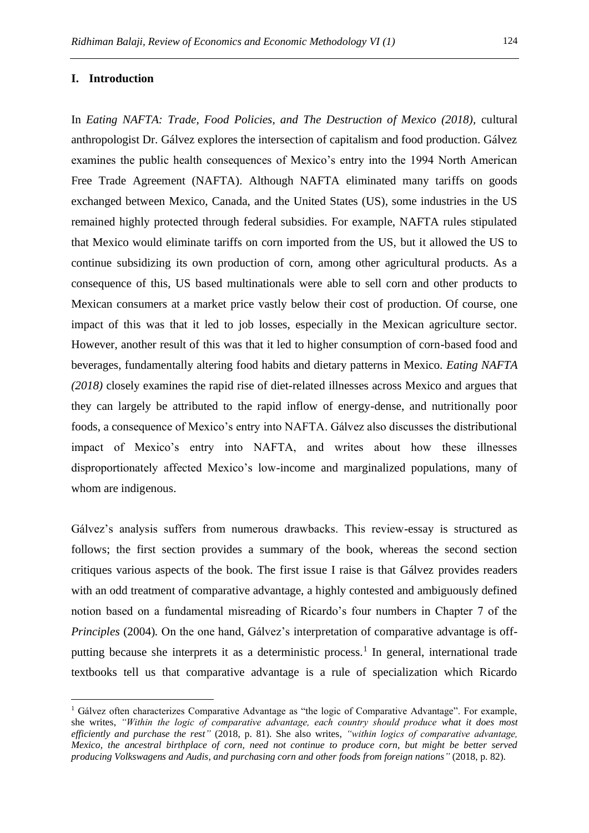#### **I. Introduction**

In *Eating NAFTA: Trade, Food Policies, and The Destruction of Mexico (2018),* cultural anthropologist Dr. Gálvez explores the intersection of capitalism and food production. Gálvez examines the public health consequences of Mexico's entry into the 1994 North American Free Trade Agreement (NAFTA). Although NAFTA eliminated many tariffs on goods exchanged between Mexico, Canada, and the United States (US), some industries in the US remained highly protected through federal subsidies. For example, NAFTA rules stipulated that Mexico would eliminate tariffs on corn imported from the US, but it allowed the US to continue subsidizing its own production of corn, among other agricultural products. As a consequence of this, US based multinationals were able to sell corn and other products to Mexican consumers at a market price vastly below their cost of production. Of course, one impact of this was that it led to job losses, especially in the Mexican agriculture sector. However, another result of this was that it led to higher consumption of corn-based food and beverages, fundamentally altering food habits and dietary patterns in Mexico. *Eating NAFTA (2018)* closely examines the rapid rise of diet-related illnesses across Mexico and argues that they can largely be attributed to the rapid inflow of energy-dense, and nutritionally poor foods, a consequence of Mexico's entry into NAFTA. Gálvez also discusses the distributional impact of Mexico's entry into NAFTA, and writes about how these illnesses disproportionately affected Mexico's low-income and marginalized populations, many of whom are indigenous.

Gálvez's analysis suffers from numerous drawbacks. This review-essay is structured as follows; the first section provides a summary of the book, whereas the second section critiques various aspects of the book. The first issue I raise is that Gálvez provides readers with an odd treatment of comparative advantage, a highly contested and ambiguously defined notion based on a fundamental misreading of Ricardo's four numbers in Chapter 7 of the *Principles* (2004)*.* On the one hand, Gálvez's interpretation of comparative advantage is offputting because she interprets it as a deterministic process.<sup>1</sup> In general, international trade textbooks tell us that comparative advantage is a rule of specialization which Ricardo

<sup>&</sup>lt;sup>1</sup> Gálvez often characterizes Comparative Advantage as "the logic of Comparative Advantage". For example, she writes, *"Within the logic of comparative advantage, each country should produce what it does most efficiently and purchase the rest"* (2018, p. 81). She also writes, *"within logics of comparative advantage, Mexico, the ancestral birthplace of corn, need not continue to produce corn, but might be better served producing Volkswagens and Audis, and purchasing corn and other foods from foreign nations"* (2018, p. 82).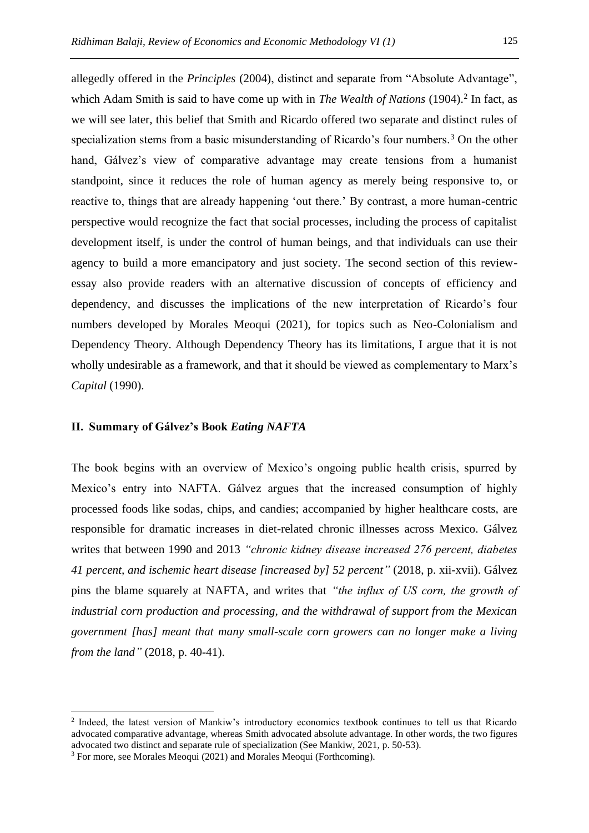allegedly offered in the *Principles* (2004), distinct and separate from "Absolute Advantage", which Adam Smith is said to have come up with in *The Wealth of Nations* (1904). 2 In fact, as we will see later, this belief that Smith and Ricardo offered two separate and distinct rules of specialization stems from a basic misunderstanding of Ricardo's four numbers.<sup>3</sup> On the other hand, Gálvez's view of comparative advantage may create tensions from a humanist standpoint, since it reduces the role of human agency as merely being responsive to, or reactive to, things that are already happening 'out there.' By contrast, a more human-centric perspective would recognize the fact that social processes, including the process of capitalist development itself, is under the control of human beings, and that individuals can use their agency to build a more emancipatory and just society. The second section of this reviewessay also provide readers with an alternative discussion of concepts of efficiency and dependency, and discusses the implications of the new interpretation of Ricardo's four numbers developed by Morales Meoqui (2021), for topics such as Neo-Colonialism and Dependency Theory. Although Dependency Theory has its limitations, I argue that it is not wholly undesirable as a framework, and that it should be viewed as complementary to Marx's *Capital* (1990).

# **II. Summary of Gálvez's Book** *Eating NAFTA*

The book begins with an overview of Mexico's ongoing public health crisis, spurred by Mexico's entry into NAFTA. Gálvez argues that the increased consumption of highly processed foods like sodas, chips, and candies; accompanied by higher healthcare costs, are responsible for dramatic increases in diet-related chronic illnesses across Mexico. Gálvez writes that between 1990 and 2013 *"chronic kidney disease increased 276 percent, diabetes 41 percent, and ischemic heart disease [increased by] 52 percent"* (2018, p. xii-xvii). Gálvez pins the blame squarely at NAFTA, and writes that *"the influx of US corn, the growth of industrial corn production and processing, and the withdrawal of support from the Mexican government [has] meant that many small-scale corn growers can no longer make a living from the land"* (2018, p. 40-41).

<sup>&</sup>lt;sup>2</sup> Indeed, the latest version of Mankiw's introductory economics textbook continues to tell us that Ricardo advocated comparative advantage, whereas Smith advocated absolute advantage. In other words, the two figures advocated two distinct and separate rule of specialization (See Mankiw, 2021, p. 50-53).

<sup>&</sup>lt;sup>3</sup> For more, see Morales Meoqui (2021) and Morales Meoqui (Forthcoming).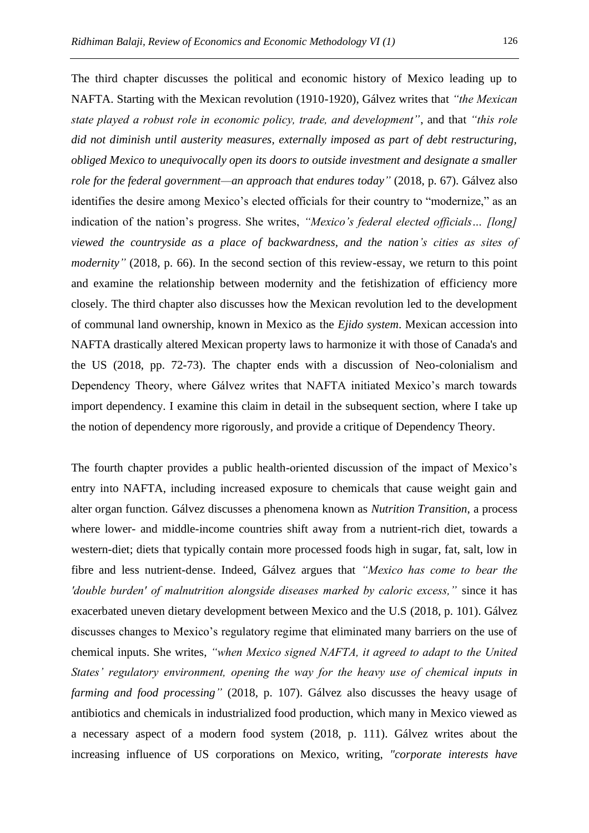The third chapter discusses the political and economic history of Mexico leading up to NAFTA. Starting with the Mexican revolution (1910-1920), Gálvez writes that *"the Mexican state played a robust role in economic policy, trade, and development"*, and that *"this role did not diminish until austerity measures, externally imposed as part of debt restructuring, obliged Mexico to unequivocally open its doors to outside investment and designate a smaller role for the federal government—an approach that endures today"* (2018, p. 67). Gálvez also identifies the desire among Mexico's elected officials for their country to "modernize," as an indication of the nation's progress. She writes, *"Mexico's federal elected officials… [long] viewed the countryside as a place of backwardness, and the nation's cities as sites of modernity*" (2018, p. 66). In the second section of this review-essay, we return to this point and examine the relationship between modernity and the fetishization of efficiency more closely. The third chapter also discusses how the Mexican revolution led to the development of communal land ownership, known in Mexico as the *Ejido system*. Mexican accession into NAFTA drastically altered Mexican property laws to harmonize it with those of Canada's and the US (2018, pp. 72-73). The chapter ends with a discussion of Neo-colonialism and Dependency Theory, where Gálvez writes that NAFTA initiated Mexico's march towards import dependency. I examine this claim in detail in the subsequent section, where I take up the notion of dependency more rigorously, and provide a critique of Dependency Theory.

The fourth chapter provides a public health-oriented discussion of the impact of Mexico's entry into NAFTA, including increased exposure to chemicals that cause weight gain and alter organ function. Gálvez discusses a phenomena known as *Nutrition Transition*, a process where lower- and middle-income countries shift away from a nutrient-rich diet, towards a western-diet; diets that typically contain more processed foods high in sugar, fat, salt, low in fibre and less nutrient-dense. Indeed, Gálvez argues that *"Mexico has come to bear the 'double burden' of malnutrition alongside diseases marked by caloric excess,"* since it has exacerbated uneven dietary development between Mexico and the U.S (2018, p. 101). Gálvez discusses changes to Mexico's regulatory regime that eliminated many barriers on the use of chemical inputs. She writes, *"when Mexico signed NAFTA, it agreed to adapt to the United States' regulatory environment, opening the way for the heavy use of chemical inputs in farming and food processing"* (2018, p. 107). Gálvez also discusses the heavy usage of antibiotics and chemicals in industrialized food production, which many in Mexico viewed as a necessary aspect of a modern food system (2018, p. 111). Gálvez writes about the increasing influence of US corporations on Mexico, writing, *"corporate interests have*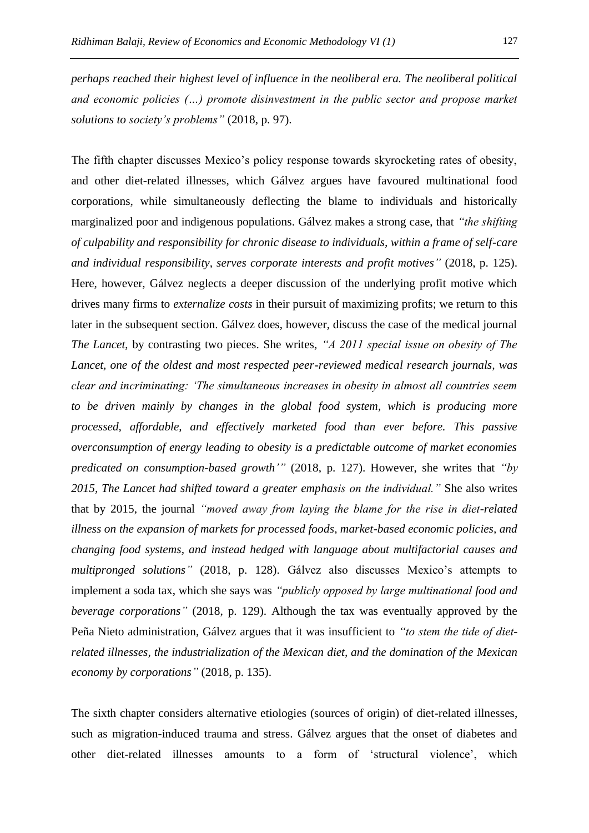*perhaps reached their highest level of influence in the neoliberal era. The neoliberal political and economic policies (…) promote disinvestment in the public sector and propose market solutions to society's problems"* (2018, p. 97).

The fifth chapter discusses Mexico's policy response towards skyrocketing rates of obesity, and other diet-related illnesses, which Gálvez argues have favoured multinational food corporations, while simultaneously deflecting the blame to individuals and historically marginalized poor and indigenous populations. Gálvez makes a strong case, that *"the shifting of culpability and responsibility for chronic disease to individuals, within a frame of self-care and individual responsibility, serves corporate interests and profit motives"* (2018, p. 125). Here, however, Gálvez neglects a deeper discussion of the underlying profit motive which drives many firms to *externalize costs* in their pursuit of maximizing profits; we return to this later in the subsequent section. Gálvez does, however, discuss the case of the medical journal *The Lancet*, by contrasting two pieces. She writes, *"A 2011 special issue on obesity of The Lancet, one of the oldest and most respected peer-reviewed medical research journals, was clear and incriminating: 'The simultaneous increases in obesity in almost all countries seem to be driven mainly by changes in the global food system, which is producing more processed, affordable, and effectively marketed food than ever before. This passive overconsumption of energy leading to obesity is a predictable outcome of market economies predicated on consumption-based growth'"* (2018, p. 127). However, she writes that *"by 2015, The Lancet had shifted toward a greater emphasis on the individual."* She also writes that by 2015, the journal *"moved away from laying the blame for the rise in diet-related illness on the expansion of markets for processed foods, market-based economic policies, and changing food systems, and instead hedged with language about multifactorial causes and multipronged solutions"* (2018, p. 128). Gálvez also discusses Mexico's attempts to implement a soda tax, which she says was *"publicly opposed by large multinational food and beverage corporations"* (2018, p. 129). Although the tax was eventually approved by the Peña Nieto administration, Gálvez argues that it was insufficient to *"to stem the tide of dietrelated illnesses, the industrialization of the Mexican diet, and the domination of the Mexican economy by corporations"* (2018, p. 135).

The sixth chapter considers alternative etiologies (sources of origin) of diet-related illnesses, such as migration-induced trauma and stress. Gálvez argues that the onset of diabetes and other diet-related illnesses amounts to a form of 'structural violence', which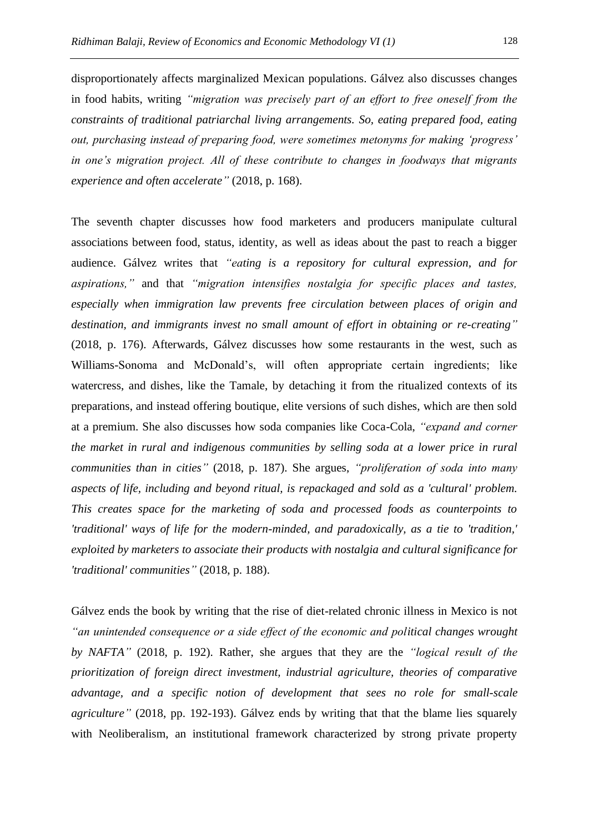disproportionately affects marginalized Mexican populations. Gálvez also discusses changes in food habits, writing *"migration was precisely part of an effort to free oneself from the constraints of traditional patriarchal living arrangements. So, eating prepared food, eating out, purchasing instead of preparing food, were sometimes metonyms for making 'progress' in one's migration project. All of these contribute to changes in foodways that migrants experience and often accelerate"* (2018, p. 168).

The seventh chapter discusses how food marketers and producers manipulate cultural associations between food, status, identity, as well as ideas about the past to reach a bigger audience. Gálvez writes that *"eating is a repository for cultural expression, and for aspirations,"* and that *"migration intensifies nostalgia for specific places and tastes, especially when immigration law prevents free circulation between places of origin and destination, and immigrants invest no small amount of effort in obtaining or re-creating"* (2018, p. 176). Afterwards, Gálvez discusses how some restaurants in the west, such as Williams-Sonoma and McDonald's, will often appropriate certain ingredients; like watercress, and dishes, like the Tamale, by detaching it from the ritualized contexts of its preparations, and instead offering boutique, elite versions of such dishes, which are then sold at a premium. She also discusses how soda companies like Coca-Cola, *"expand and corner the market in rural and indigenous communities by selling soda at a lower price in rural communities than in cities"* (2018, p. 187). She argues, *"proliferation of soda into many aspects of life, including and beyond ritual, is repackaged and sold as a 'cultural' problem. This creates space for the marketing of soda and processed foods as counterpoints to 'traditional' ways of life for the modern-minded, and paradoxically, as a tie to 'tradition,' exploited by marketers to associate their products with nostalgia and cultural significance for 'traditional' communities"* (2018, p. 188).

Gálvez ends the book by writing that the rise of diet-related chronic illness in Mexico is not *"an unintended consequence or a side effect of the economic and political changes wrought by NAFTA"* (2018, p. 192). Rather, she argues that they are the *"logical result of the prioritization of foreign direct investment, industrial agriculture, theories of comparative advantage, and a specific notion of development that sees no role for small-scale agriculture"* (2018, pp. 192-193). Gálvez ends by writing that that the blame lies squarely with Neoliberalism, an institutional framework characterized by strong private property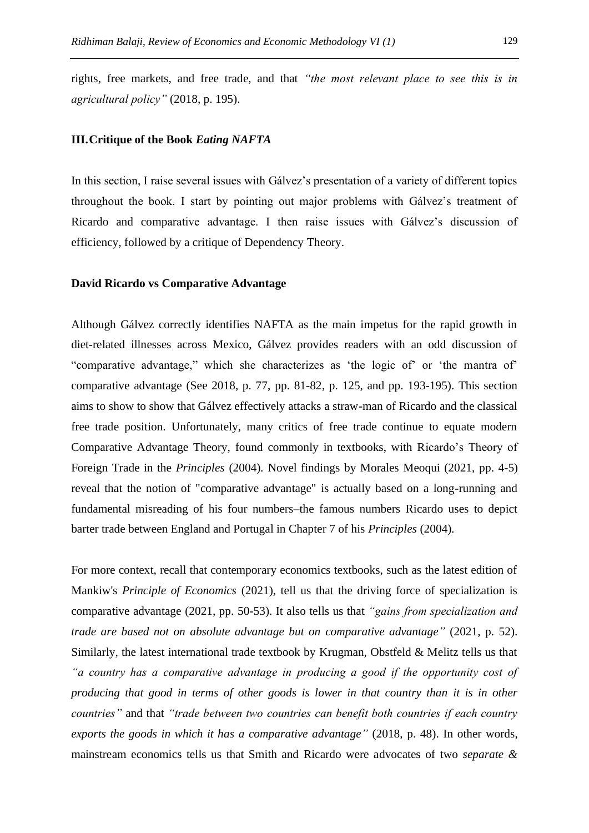rights, free markets, and free trade, and that *"the most relevant place to see this is in agricultural policy"* (2018, p. 195).

### **III.Critique of the Book** *Eating NAFTA*

In this section, I raise several issues with Gálvez's presentation of a variety of different topics throughout the book. I start by pointing out major problems with Gálvez's treatment of Ricardo and comparative advantage. I then raise issues with Gálvez's discussion of efficiency, followed by a critique of Dependency Theory.

#### **David Ricardo vs Comparative Advantage**

Although Gálvez correctly identifies NAFTA as the main impetus for the rapid growth in diet-related illnesses across Mexico, Gálvez provides readers with an odd discussion of "comparative advantage," which she characterizes as 'the logic of' or 'the mantra of' comparative advantage (See 2018, p. 77, pp. 81-82, p. 125, and pp. 193-195). This section aims to show to show that Gálvez effectively attacks a straw-man of Ricardo and the classical free trade position. Unfortunately, many critics of free trade continue to equate modern Comparative Advantage Theory, found commonly in textbooks, with Ricardo's Theory of Foreign Trade in the *Principles* (2004)*.* Novel findings by Morales Meoqui (2021, pp. 4-5) reveal that the notion of "comparative advantage" is actually based on a long-running and fundamental misreading of his four numbers–the famous numbers Ricardo uses to depict barter trade between England and Portugal in Chapter 7 of his *Principles* (2004)*.*

For more context, recall that contemporary economics textbooks, such as the latest edition of Mankiw's *Principle of Economics* (2021), tell us that the driving force of specialization is comparative advantage (2021, pp. 50-53). It also tells us that *"gains from specialization and trade are based not on absolute advantage but on comparative advantage"* (2021, p. 52). Similarly, the latest international trade textbook by Krugman, Obstfeld & Melitz tells us that *"a country has a comparative advantage in producing a good if the opportunity cost of producing that good in terms of other goods is lower in that country than it is in other countries"* and that *"trade between two countries can benefit both countries if each country exports the goods in which it has a comparative advantage"* (2018, p. 48). In other words, mainstream economics tells us that Smith and Ricardo were advocates of two *separate &*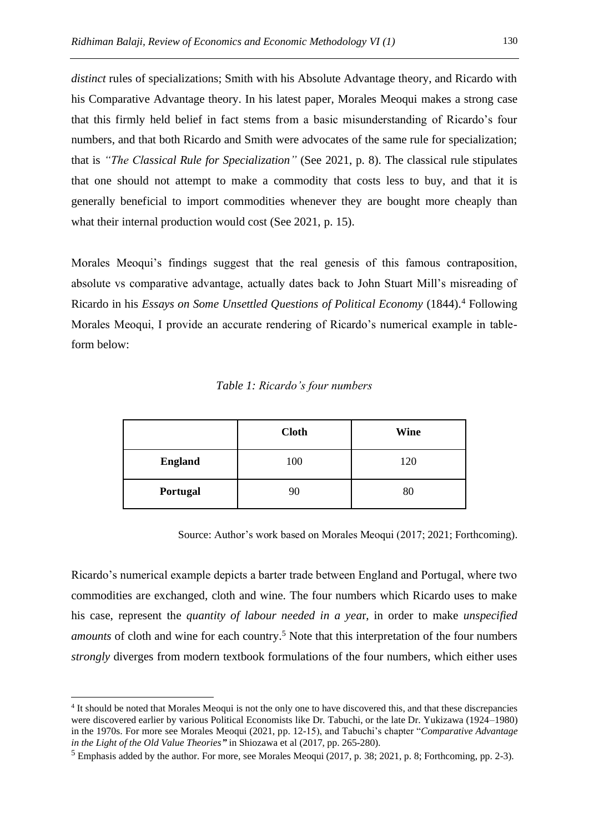*distinct* rules of specializations; Smith with his Absolute Advantage theory, and Ricardo with his Comparative Advantage theory. In his latest paper, Morales Meoqui makes a strong case that this firmly held belief in fact stems from a basic misunderstanding of Ricardo's four numbers, and that both Ricardo and Smith were advocates of the same rule for specialization; that is *"The Classical Rule for Specialization"* (See 2021, p. 8). The classical rule stipulates that one should not attempt to make a commodity that costs less to buy, and that it is generally beneficial to import commodities whenever they are bought more cheaply than what their internal production would cost (See 2021, p. 15).

Morales Meoqui's findings suggest that the real genesis of this famous contraposition, absolute vs comparative advantage, actually dates back to John Stuart Mill's misreading of Ricardo in his *Essays on Some Unsettled Questions of Political Economy* (1844).<sup>4</sup> Following Morales Meoqui, I provide an accurate rendering of Ricardo's numerical example in tableform below:

# *Table 1: Ricardo's four numbers*

|                | <b>Cloth</b> | Wine |
|----------------|--------------|------|
| <b>England</b> | 100          | 120  |
| Portugal       | 90           | 80   |

Source: Author's work based on Morales Meoqui (2017; 2021; Forthcoming).

Ricardo's numerical example depicts a barter trade between England and Portugal, where two commodities are exchanged, cloth and wine. The four numbers which Ricardo uses to make his case, represent the *quantity of labour needed in a yea*r, in order to make *unspecified amounts* of cloth and wine for each country.<sup>5</sup> Note that this interpretation of the four numbers *strongly* diverges from modern textbook formulations of the four numbers, which either uses

<sup>&</sup>lt;sup>4</sup> It should be noted that Morales Meoqui is not the only one to have discovered this, and that these discrepancies were discovered earlier by various Political Economists like Dr. Tabuchi, or the late Dr. Yukizawa (1924–1980) in the 1970s. For more see Morales Meoqui (2021, pp. 12-15), and Tabuchi's chapter "*Comparative Advantage in the Light of the Old Value Theories"* in Shiozawa et al (2017, pp. 265-280).

<sup>5</sup> Emphasis added by the author. For more, see Morales Meoqui (2017, p. 38; 2021, p. 8; Forthcoming, pp. 2-3).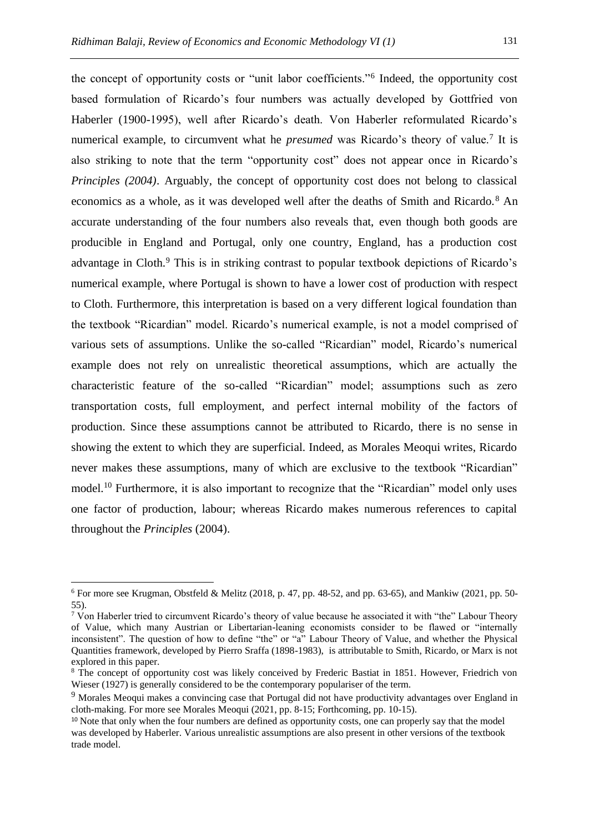the concept of opportunity costs or "unit labor coefficients."<sup>6</sup> Indeed, the opportunity cost based formulation of Ricardo's four numbers was actually developed by Gottfried von Haberler (1900-1995), well after Ricardo's death. Von Haberler reformulated Ricardo's numerical example, to circumvent what he *presumed* was Ricardo's theory of value.<sup>7</sup> It is also striking to note that the term "opportunity cost" does not appear once in Ricardo's *Principles (2004)*. Arguably, the concept of opportunity cost does not belong to classical economics as a whole, as it was developed well after the deaths of Smith and Ricardo.<sup>8</sup> An accurate understanding of the four numbers also reveals that, even though both goods are producible in England and Portugal, only one country, England, has a production cost advantage in Cloth.<sup>9</sup> This is in striking contrast to popular textbook depictions of Ricardo's numerical example, where Portugal is shown to have a lower cost of production with respect to Cloth. Furthermore, this interpretation is based on a very different logical foundation than the textbook "Ricardian" model. Ricardo's numerical example, is not a model comprised of various sets of assumptions. Unlike the so-called "Ricardian" model, Ricardo's numerical example does not rely on unrealistic theoretical assumptions, which are actually the characteristic feature of the so-called "Ricardian" model; assumptions such as zero transportation costs, full employment, and perfect internal mobility of the factors of production. Since these assumptions cannot be attributed to Ricardo, there is no sense in showing the extent to which they are superficial. Indeed, as Morales Meoqui writes, Ricardo never makes these assumptions, many of which are exclusive to the textbook "Ricardian" model.<sup>10</sup> Furthermore, it is also important to recognize that the "Ricardian" model only uses one factor of production, labour; whereas Ricardo makes numerous references to capital throughout the *Principles* (2004).

 $6$  For more see Krugman, Obstfeld & Melitz (2018, p. 47, pp. 48-52, and pp. 63-65), and Mankiw (2021, pp. 50-55).

<sup>&</sup>lt;sup>7</sup> Von Haberler tried to circumvent Ricardo's theory of value because he associated it with "the" Labour Theory of Value, which many Austrian or Libertarian-leaning economists consider to be flawed or "internally inconsistent". The question of how to define "the" or "a" Labour Theory of Value, and whether the Physical Quantities framework, developed by Pierro Sraffa (1898-1983), is attributable to Smith, Ricardo, or Marx is not explored in this paper.

<sup>&</sup>lt;sup>8</sup> The concept of opportunity cost was likely conceived by Frederic Bastiat in 1851. However, Friedrich von Wieser (1927) is generally considered to be the contemporary populariser of the term.

<sup>&</sup>lt;sup>9</sup> Morales Meoqui makes a convincing case that Portugal did not have productivity advantages over England in cloth-making. For more see Morales Meoqui (2021, pp. 8-15; Forthcoming, pp. 10-15).

<sup>&</sup>lt;sup>10</sup> Note that only when the four numbers are defined as opportunity costs, one can properly say that the model was developed by Haberler. Various unrealistic assumptions are also present in other versions of the textbook trade model.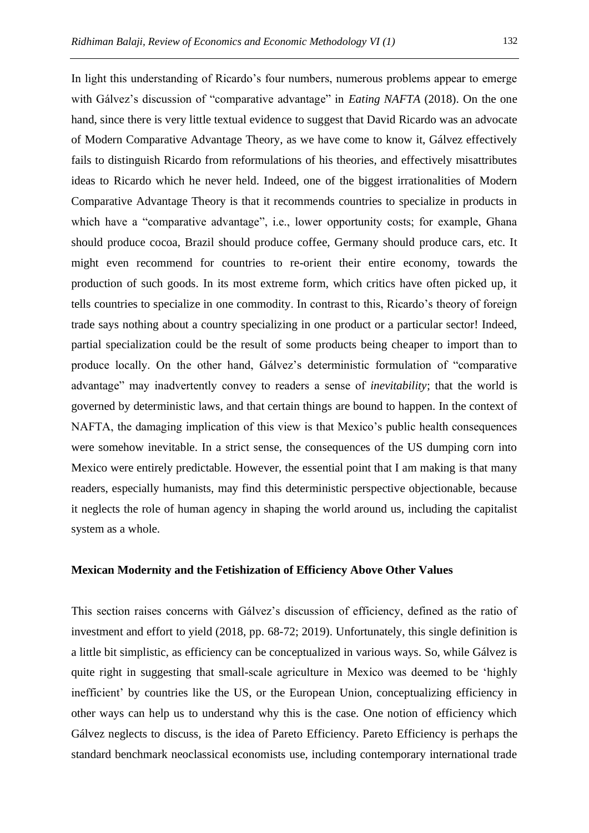In light this understanding of Ricardo's four numbers, numerous problems appear to emerge with Gálvez's discussion of "comparative advantage" in *Eating NAFTA* (2018). On the one hand, since there is very little textual evidence to suggest that David Ricardo was an advocate of Modern Comparative Advantage Theory, as we have come to know it, Gálvez effectively fails to distinguish Ricardo from reformulations of his theories, and effectively misattributes ideas to Ricardo which he never held. Indeed, one of the biggest irrationalities of Modern Comparative Advantage Theory is that it recommends countries to specialize in products in which have a "comparative advantage", i.e., lower opportunity costs; for example, Ghana should produce cocoa, Brazil should produce coffee, Germany should produce cars, etc. It might even recommend for countries to re-orient their entire economy, towards the production of such goods. In its most extreme form, which critics have often picked up, it tells countries to specialize in one commodity. In contrast to this, Ricardo's theory of foreign trade says nothing about a country specializing in one product or a particular sector! Indeed, partial specialization could be the result of some products being cheaper to import than to produce locally. On the other hand, Gálvez's deterministic formulation of "comparative advantage" may inadvertently convey to readers a sense of *inevitability*; that the world is governed by deterministic laws, and that certain things are bound to happen. In the context of NAFTA, the damaging implication of this view is that Mexico's public health consequences were somehow inevitable. In a strict sense, the consequences of the US dumping corn into Mexico were entirely predictable. However, the essential point that I am making is that many readers, especially humanists, may find this deterministic perspective objectionable, because it neglects the role of human agency in shaping the world around us, including the capitalist system as a whole.

# **Mexican Modernity and the Fetishization of Efficiency Above Other Values**

This section raises concerns with Gálvez's discussion of efficiency, defined as the ratio of investment and effort to yield (2018, pp. 68-72; 2019). Unfortunately, this single definition is a little bit simplistic, as efficiency can be conceptualized in various ways. So, while Gálvez is quite right in suggesting that small-scale agriculture in Mexico was deemed to be 'highly inefficient' by countries like the US, or the European Union, conceptualizing efficiency in other ways can help us to understand why this is the case. One notion of efficiency which Gálvez neglects to discuss, is the idea of Pareto Efficiency. Pareto Efficiency is perhaps the standard benchmark neoclassical economists use, including contemporary international trade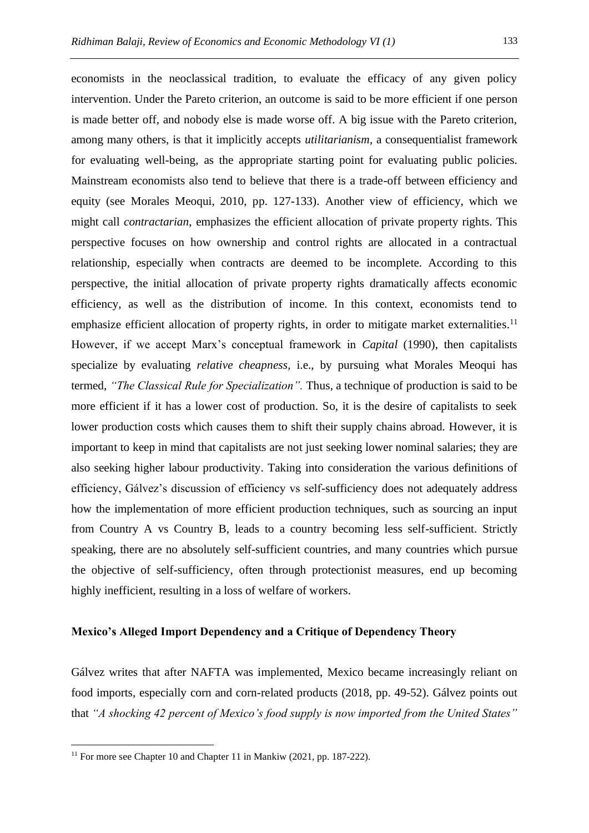economists in the neoclassical tradition, to evaluate the efficacy of any given policy intervention. Under the Pareto criterion, an outcome is said to be more efficient if one person is made better off, and nobody else is made worse off. A big issue with the Pareto criterion, among many others, is that it implicitly accepts *utilitarianism*, a consequentialist framework for evaluating well-being, as the appropriate starting point for evaluating public policies. Mainstream economists also tend to believe that there is a trade-off between efficiency and equity (see Morales Meoqui, 2010, pp. 127-133). Another view of efficiency, which we might call *contractarian*, emphasizes the efficient allocation of private property rights. This perspective focuses on how ownership and control rights are allocated in a contractual relationship, especially when contracts are deemed to be incomplete. According to this perspective, the initial allocation of private property rights dramatically affects economic efficiency, as well as the distribution of income. In this context, economists tend to emphasize efficient allocation of property rights, in order to mitigate market externalities.<sup>11</sup> However, if we accept Marx's conceptual framework in *Capital* (1990), then capitalists specialize by evaluating *relative cheapness,* i.e., by pursuing what Morales Meoqui has termed, *"The Classical Rule for Specialization".* Thus, a technique of production is said to be more efficient if it has a lower cost of production. So, it is the desire of capitalists to seek lower production costs which causes them to shift their supply chains abroad. However, it is important to keep in mind that capitalists are not just seeking lower nominal salaries; they are also seeking higher labour productivity. Taking into consideration the various definitions of efficiency, Gálvez's discussion of efficiency vs self-sufficiency does not adequately address how the implementation of more efficient production techniques, such as sourcing an input from Country A vs Country B, leads to a country becoming less self-sufficient. Strictly speaking, there are no absolutely self-sufficient countries, and many countries which pursue the objective of self-sufficiency, often through protectionist measures, end up becoming

#### **Mexico's Alleged Import Dependency and a Critique of Dependency Theory**

Gálvez writes that after NAFTA was implemented, Mexico became increasingly reliant on food imports, especially corn and corn-related products (2018, pp. 49-52). Gálvez points out that *"A shocking 42 percent of Mexico's food supply is now imported from the United States"*

highly inefficient, resulting in a loss of welfare of workers.

<sup>&</sup>lt;sup>11</sup> For more see Chapter 10 and Chapter 11 in Mankiw (2021, pp. 187-222).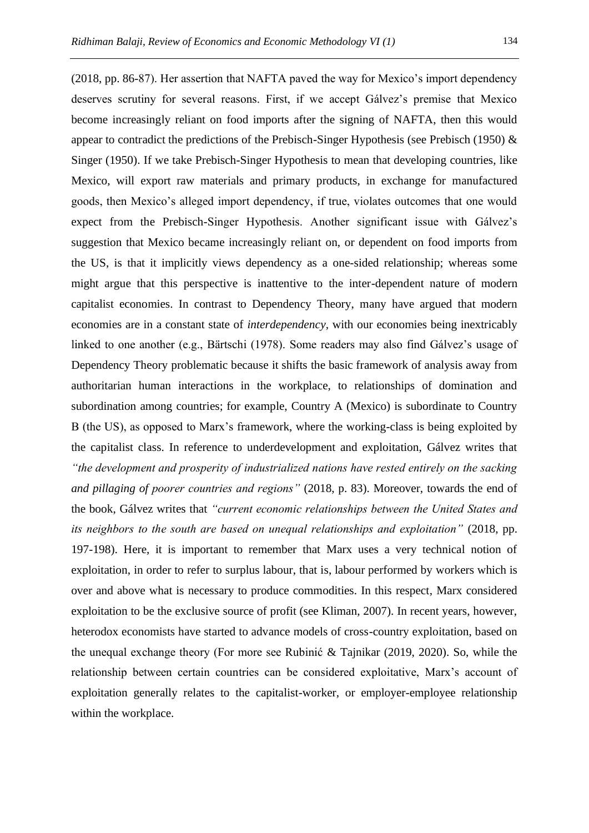deserves scrutiny for several reasons. First, if we accept Gálvez's premise that Mexico become increasingly reliant on food imports after the signing of NAFTA, then this would appear to contradict the predictions of the Prebisch-Singer Hypothesis (see Prebisch (1950) & Singer (1950). If we take Prebisch-Singer Hypothesis to mean that developing countries, like Mexico, will export raw materials and primary products, in exchange for manufactured goods, then Mexico's alleged import dependency, if true, violates outcomes that one would expect from the Prebisch-Singer Hypothesis. Another significant issue with Gálvez's suggestion that Mexico became increasingly reliant on, or dependent on food imports from the US, is that it implicitly views dependency as a one-sided relationship; whereas some might argue that this perspective is inattentive to the inter-dependent nature of modern capitalist economies. In contrast to Dependency Theory, many have argued that modern economies are in a constant state of *interdependency*, with our economies being inextricably linked to one another (e.g., Bärtschi (1978). Some readers may also find Gálvez's usage of Dependency Theory problematic because it shifts the basic framework of analysis away from authoritarian human interactions in the workplace, to relationships of domination and subordination among countries; for example, Country A (Mexico) is subordinate to Country B (the US), as opposed to Marx's framework, where the working-class is being exploited by the capitalist class. In reference to underdevelopment and exploitation, Gálvez writes that *"the development and prosperity of industrialized nations have rested entirely on the sacking and pillaging of poorer countries and regions"* (2018, p. 83). Moreover, towards the end of the book, Gálvez writes that *"current economic relationships between the United States and its neighbors to the south are based on unequal relationships and exploitation"* (2018, pp. 197-198). Here, it is important to remember that Marx uses a very technical notion of exploitation, in order to refer to surplus labour, that is, labour performed by workers which is over and above what is necessary to produce commodities. In this respect, Marx considered exploitation to be the exclusive source of profit (see Kliman, 2007). In recent years, however, heterodox economists have started to advance models of cross-country exploitation, based on the unequal exchange theory (For more see Rubinić & Tajnikar (2019, 2020). So, while the relationship between certain countries can be considered exploitative, Marx's account of exploitation generally relates to the capitalist-worker, or employer-employee relationship within the workplace.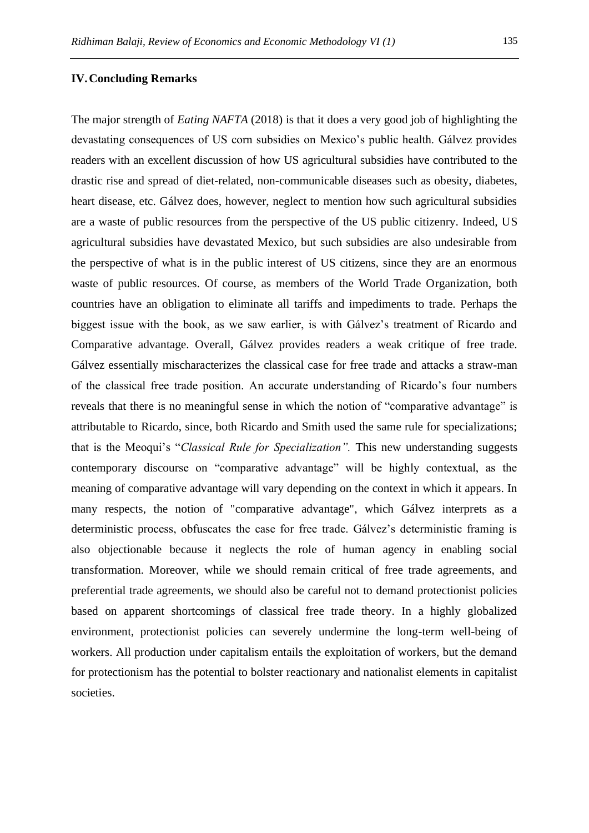# **IV.Concluding Remarks**

The major strength of *Eating NAFTA* (2018) is that it does a very good job of highlighting the devastating consequences of US corn subsidies on Mexico's public health. Gálvez provides readers with an excellent discussion of how US agricultural subsidies have contributed to the drastic rise and spread of diet-related, non-communicable diseases such as obesity, diabetes, heart disease, etc. Gálvez does, however, neglect to mention how such agricultural subsidies are a waste of public resources from the perspective of the US public citizenry. Indeed, US agricultural subsidies have devastated Mexico, but such subsidies are also undesirable from the perspective of what is in the public interest of US citizens, since they are an enormous waste of public resources. Of course, as members of the World Trade Organization, both countries have an obligation to eliminate all tariffs and impediments to trade. Perhaps the biggest issue with the book, as we saw earlier, is with Gálvez's treatment of Ricardo and Comparative advantage. Overall, Gálvez provides readers a weak critique of free trade. Gálvez essentially mischaracterizes the classical case for free trade and attacks a straw-man of the classical free trade position. An accurate understanding of Ricardo's four numbers reveals that there is no meaningful sense in which the notion of "comparative advantage" is attributable to Ricardo, since, both Ricardo and Smith used the same rule for specializations; that is the Meoqui's "*Classical Rule for Specialization".* This new understanding suggests contemporary discourse on "comparative advantage" will be highly contextual, as the meaning of comparative advantage will vary depending on the context in which it appears. In many respects, the notion of "comparative advantage", which Gálvez interprets as a deterministic process, obfuscates the case for free trade. Gálvez's deterministic framing is also objectionable because it neglects the role of human agency in enabling social transformation. Moreover, while we should remain critical of free trade agreements, and preferential trade agreements, we should also be careful not to demand protectionist policies based on apparent shortcomings of classical free trade theory. In a highly globalized environment, protectionist policies can severely undermine the long-term well-being of workers. All production under capitalism entails the exploitation of workers, but the demand for protectionism has the potential to bolster reactionary and nationalist elements in capitalist societies.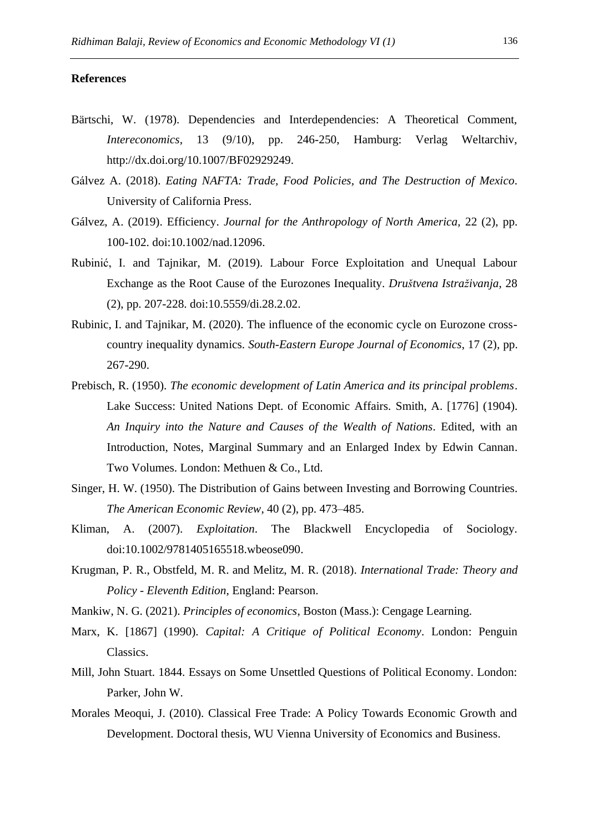# **References**

- Bärtschi, W. (1978). Dependencies and Interdependencies: A Theoretical Comment, *Intereconomics*, 13 (9/10), pp. 246-250, Hamburg: Verlag Weltarchiv, http://dx.doi.org/10.1007/BF02929249.
- Gálvez A. (2018). *Eating NAFTA: Trade, Food Policies, and The Destruction of Mexico*. University of California Press.
- Gálvez, A. (2019). Efficiency. *Journal for the Anthropology of North America,* 22 (2), pp. 100-102. doi:10.1002/nad.12096.
- Rubinić, I. and Tajnikar, M. (2019). Labour Force Exploitation and Unequal Labour Exchange as the Root Cause of the Eurozones Inequality. *Društvena Istraživanja*, 28 (2), pp. 207-228. doi:10.5559/di.28.2.02.
- Rubinic, I. and Tajnikar, M. (2020). The influence of the economic cycle on Eurozone crosscountry inequality dynamics. *South-Eastern Europe Journal of Economics*, 17 (2), pp. 267-290.
- Prebisch, R. (1950). *The economic development of Latin America and its principal problems*. Lake Success: United Nations Dept. of Economic Affairs. Smith, A. [1776] (1904). *An Inquiry into the Nature and Causes of the Wealth of Nations*. Edited, with an Introduction, Notes, Marginal Summary and an Enlarged Index by Edwin Cannan. Two Volumes. London: Methuen & Co., Ltd.
- Singer, H. W. (1950). The Distribution of Gains between Investing and Borrowing Countries. *The American Economic Review*, 40 (2), pp. 473–485.
- Kliman, A. (2007). *Exploitation*. The Blackwell Encyclopedia of Sociology. doi:10.1002/9781405165518.wbeose090.
- Krugman, P. R., Obstfeld, M. R. and Melitz, M. R. (2018). *International Trade: Theory and Policy - Eleventh Edition*, England: Pearson.
- Mankiw, N. G. (2021). *Principles of economics*, Boston (Mass.): Cengage Learning.
- Marx, K. [1867] (1990). *Capital: A Critique of Political Economy*. London: Penguin Classics.
- Mill, John Stuart. 1844. Essays on Some Unsettled Questions of Political Economy. London: Parker, John W.
- Morales Meoqui, J. (2010). Classical Free Trade: A Policy Towards Economic Growth and Development. Doctoral thesis, WU Vienna University of Economics and Business.